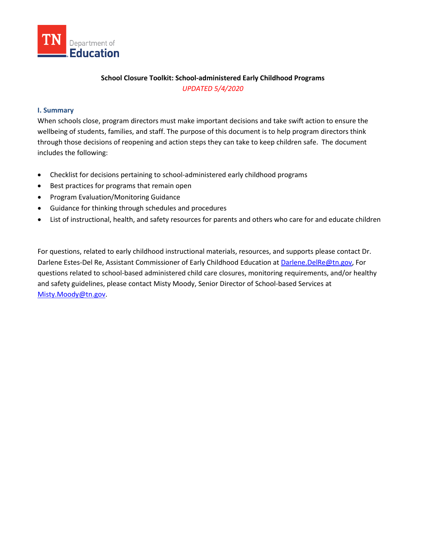

# **School Closure Toolkit: School-administered Early Childhood Programs** *UPDATED 5/4/2020*

### **I. Summary**

When schools close, program directors must make important decisions and take swift action to ensure the wellbeing of students, families, and staff. The purpose of this document is to help program directors think through those decisions of reopening and action steps they can take to keep children safe. The document includes the following:

- Checklist for decisions pertaining to school-administered early childhood programs
- Best practices for programs that remain open
- Program Evaluation/Monitoring Guidance
- Guidance for thinking through schedules and procedures
- List of instructional, health, and safety resources for parents and others who care for and educate children

For questions, related to early childhood instructional materials, resources, and supports please contact Dr. Darlene Estes-Del Re, Assistant Commissioner of Early Childhood Education at [Darlene.DelRe@tn.gov,](mailto:Darlene.DelRe@tn.gov) For questions related to school-based administered child care closures, monitoring requirements, and/or healthy and safety guidelines, please contact Misty Moody, Senior Director of School-based Services at [Misty.Moody@tn.gov.](mailto:Misty.Moody@tn.gov)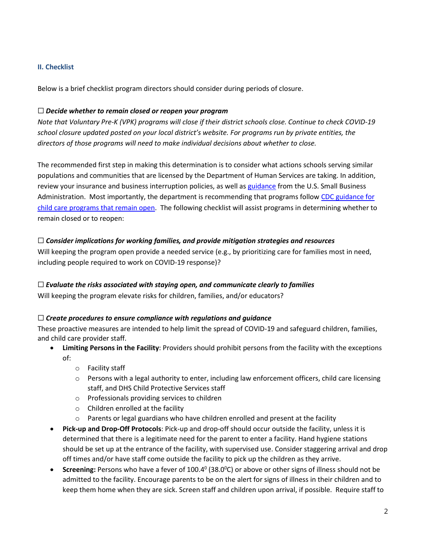# **II. Checklist**

Below is a brief checklist program directors should consider during periods of closure.

### ☐ *Decide whether to remain closed or reopen your program*

*Note that Voluntary Pre-K (VPK) programs will close if their district schools close. Continue to check COVID-19 school closure updated posted on your local district's website. For programs run by private entities, the directors of those programs will need to make individual decisions about whether to close.*

The recommended first step in making this determination is to consider what actions schools serving similar populations and communities that are licensed by the Department of Human Services are taking. In addition, review your insurance and business interruption policies, as well as [guidance](https://www.sba.gov/page/coronavirus-covid-19-small-business-guidance-loan-resources) from the U.S. Small Business Administration. Most importantly, the department is recommending that programs follow CDC guidance for [child care programs that remain open.](https://www.cdc.gov/coronavirus/2019-ncov/community/schools-childcare/guidance-for-childcare.html) The following checklist will assist programs in determining whether to remain closed or to reopen:

## ☐ *Consider implications for working families, and provide mitigation strategies and resources*

Will keeping the program open provide a needed service (e.g., by prioritizing care for families most in need, including people required to work on COVID-19 response)?

## ☐ *Evaluate the risks associated with staying open, and communicate clearly to families*

Will keeping the program elevate risks for children, families, and/or educators?

## ☐ *Create procedures to ensure compliance with regulations and guidance*

These proactive measures are intended to help limit the spread of COVID-19 and safeguard children, families, and child care provider staff.

- **Limiting Persons in the Facility**: Providers should prohibit persons from the facility with the exceptions of:
	- o Facility staff
	- $\circ$  Persons with a legal authority to enter, including law enforcement officers, child care licensing staff, and DHS Child Protective Services staff
	- o Professionals providing services to children
	- o Children enrolled at the facility
	- $\circ$  Parents or legal guardians who have children enrolled and present at the facility
- **Pick-up and Drop-Off Protocols**: Pick-up and drop-off should occur outside the facility, unless it is determined that there is a legitimate need for the parent to enter a facility. Hand hygiene stations should be set up at the entrance of the facility, with supervised use. Consider staggering arrival and drop off times and/or have staff come outside the facility to pick up the children as they arrive.
- Screening: Persons who have a fever of 100.4<sup>0</sup> (38.0<sup>o</sup>C) or above or other signs of illness should not be admitted to the facility. Encourage parents to be on the alert for signs of illness in their children and to keep them home when they are sick. Screen staff and children upon arrival, if possible. Require staff to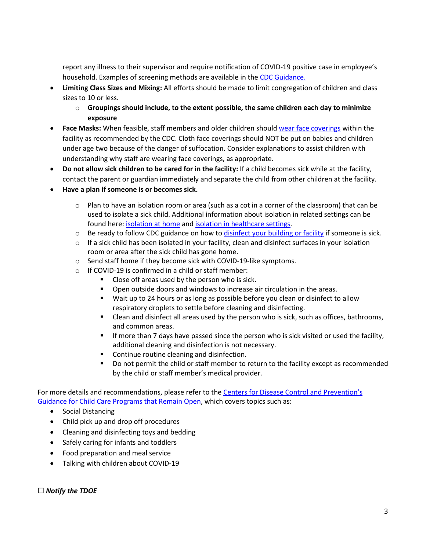report any illness to their supervisor and require notification of COVID-19 positive case in employee's household. Examples of screening methods are available in th[e CDC Guidance.](https://www.cdc.gov/coronavirus/2019-ncov/community/schools-childcare/guidance-for-childcare.html)

- **Limiting Class Sizes and Mixing:** All efforts should be made to limit congregation of children and class sizes to 10 or less.
	- o **Groupings should include, to the extent possible, the same children each day to minimize exposure**
- **Face Masks:** When feasible, staff members and older children should [wear face coverings](https://www.cdc.gov/coronavirus/2019-ncov/prevent-getting-sick/diy-cloth-face-coverings.html) within the facility as recommended by the CDC. Cloth face coverings should NOT be put on babies and children under age two because of the danger of suffocation. Consider explanations to assist children with understanding why staff are wearing face coverings, as appropriate.
- **Do not allow sick children to be cared for in the facility:** If a child becomes sick while at the facility, contact the parent or guardian immediately and separate the child from other children at the facility.
- **Have a plan if someone is or becomes sick.**
	- o Plan to have an isolation room or area (such as a cot in a corner of the classroom) that can be used to isolate a sick child. Additional information about isolation in related settings can be found here: [isolation at home](https://www.cdc.gov/coronavirus/2019-ncov/prevent-getting-sick/social-distancing.html) and [isolation in healthcare settings.](https://www.cdc.gov/coronavirus/2019-ncov/hcp/infection-control-recommendations.html)
	- $\circ$  Be ready to follow CDC guidance on how to [disinfect your building or facility](https://www.cdc.gov/coronavirus/2019-ncov/prepare/disinfecting-building-facility.html) if someone is sick.
	- $\circ$  If a sick child has been isolated in your facility, clean and disinfect surfaces in your isolation room or area after the sick child has gone home.
	- o Send staff home if they become sick with COVID-19-like symptoms.
	- o If COVID-19 is confirmed in a child or staff member:
		- **Close off areas used by the person who is sick.**
		- Open outside doors and windows to increase air circulation in the areas.
		- Wait up to 24 hours or as long as possible before you clean or disinfect to allow respiratory droplets to settle before cleaning and disinfecting.
		- Clean and disinfect all areas used by the person who is sick, such as offices, bathrooms, and common areas.
		- **If more than 7 days have passed since the person who is sick visited or used the facility,** additional cleaning and disinfection is not necessary.
		- **•** Continue routine cleaning and disinfection.
		- Do not permit the child or staff member to return to the facility except as recommended by the child or staff member's medical provider.

For more details and recommendations, please refer to the Centers for Disease Control and Prevention's [Guidance for Child Care Programs that Remain Open,](https://www.cdc.gov/coronavirus/2019-ncov/community/schools-childcare/guidance-for-childcare.html) which covers topics such as:

- Social Distancing
- Child pick up and drop off procedures
- Cleaning and disinfecting toys and bedding
- Safely caring for infants and toddlers
- Food preparation and meal service
- Talking with children about COVID-19

☐ *Notify the TDOE*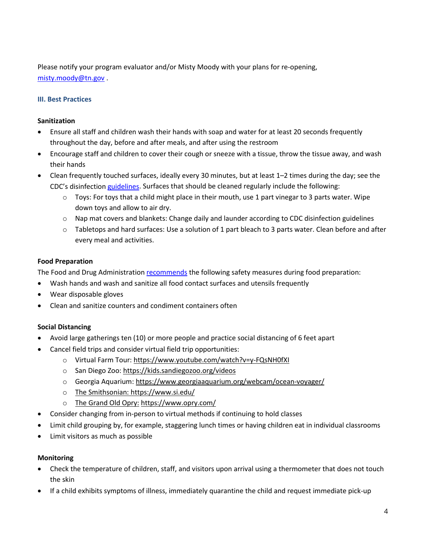Please notify your program evaluator and/or Misty Moody with your plans for re-opening, [misty.moody@tn.gov](mailto:misty.moody@tn.gov) .

## **III. Best Practices**

### **Sanitization**

- Ensure all staff and children wash their hands with soap and water for at least 20 seconds frequently throughout the day, before and after meals, and after using the restroom
- Encourage staff and children to cover their cough or sneeze with a tissue, throw the tissue away, and wash their hands
- Clean frequently touched surfaces, ideally every 30 minutes, but at least 1–2 times during the day; see the CDC's disinfectio[n guidelines.](https://www.cdc.gov/coronavirus/2019-ncov/community/organizations/cleaning-disinfection.html) Surfaces that should be cleaned regularly include the following:
	- $\circ$  Toys: For toys that a child might place in their mouth, use 1 part vinegar to 3 parts water. Wipe down toys and allow to air dry.
	- $\circ$  Nap mat covers and blankets: Change daily and launder according to CDC disinfection guidelines
	- o Tabletops and hard surfaces: Use a solution of 1 part bleach to 3 parts water. Clean before and after every meal and activities.

## **Food Preparation**

The Food and Drug Administratio[n recommends](https://www.fda.gov/food/food-safety-during-emergencies/food-safety-and-coronavirus-disease-2019-covid-19) the following safety measures during food preparation:

- Wash hands and wash and sanitize all food contact surfaces and utensils frequently
- Wear disposable gloves
- Clean and sanitize counters and condiment containers often

## **Social Distancing**

- Avoid large gatherings ten (10) or more people and practice social distancing of 6 feet apart
- Cancel field trips and consider virtual field trip opportunities:
	- o Virtual Farm Tour:<https://www.youtube.com/watch?v=y-FQsNH0fXI>
	- o San Diego Zoo:<https://kids.sandiegozoo.org/videos>
	- o Georgia Aquarium:<https://www.georgiaaquarium.org/webcam/ocean-voyager/>
	- o The Smithsonian:<https://www.si.edu/>
	- o The Grand Old Opry: <https://www.opry.com/>
- Consider changing from in-person to virtual methods if continuing to hold classes
- Limit child grouping by, for example, staggering lunch times or having children eat in individual classrooms
- Limit visitors as much as possible

### **Monitoring**

- Check the temperature of children, staff, and visitors upon arrival using a thermometer that does not touch the skin
- If a child exhibits symptoms of illness, immediately quarantine the child and request immediate pick-up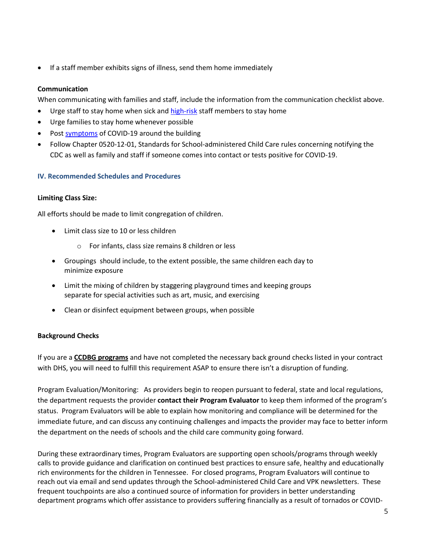If a staff member exhibits signs of illness, send them home immediately

## **Communication**

When communicating with families and staff, include the information from the communication checklist above.

- Urge staff to stay home when sick and [high-risk](https://www.cdc.gov/coronavirus/2019-ncov/specific-groups/high-risk-complications.html) staff members to stay home
- Urge families to stay home whenever possible
- Post [symptoms](https://www.cdc.gov/coronavirus/2019-ncov/downloads/COVID19-symptoms.pdf) of COVID-19 around the building
- Follow Chapter 0520-12-01, Standards for School-administered Child Care rules concerning notifying the CDC as well as family and staff if someone comes into contact or tests positive for COVID-19.

### **IV. Recommended Schedules and Procedures**

#### **Limiting Class Size:**

All efforts should be made to limit congregation of children.

- Limit class size to 10 or less children
	- o For infants, class size remains 8 children or less
- Groupings should include, to the extent possible, the same children each day to minimize exposure
- Limit the mixing of children by staggering playground times and keeping groups separate for special activities such as art, music, and exercising
- Clean or disinfect equipment between groups, when possible

### **Background Checks**

If you are a **CCDBG programs** and have not completed the necessary back ground checks listed in your contract with DHS, you will need to fulfill this requirement ASAP to ensure there isn't a disruption of funding.

Program Evaluation/Monitoring: As providers begin to reopen pursuant to federal, state and local regulations, the department requests the provider **contact their Program Evaluator** to keep them informed of the program's status. Program Evaluators will be able to explain how monitoring and compliance will be determined for the immediate future, and can discuss any continuing challenges and impacts the provider may face to better inform the department on the needs of schools and the child care community going forward.

During these extraordinary times, Program Evaluators are supporting open schools/programs through weekly calls to provide guidance and clarification on continued best practices to ensure safe, healthy and educationally rich environments for the children in Tennessee. For closed programs, Program Evaluators will continue to reach out via email and send updates through the School-administered Child Care and VPK newsletters. These frequent touchpoints are also a continued source of information for providers in better understanding department programs which offer assistance to providers suffering financially as a result of tornados or COVID-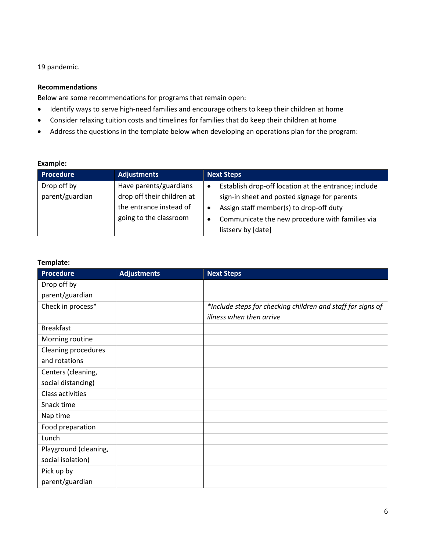19 pandemic.

## **Recommendations**

Below are some recommendations for programs that remain open:

- Identify ways to serve high-need families and encourage others to keep their children at home
- Consider relaxing tuition costs and timelines for families that do keep their children at home
- Address the questions in the template below when developing an operations plan for the program:

#### **Example:**

| <b>Procedure</b> | <b>Adjustments</b>         | <b>Next Steps</b>                                                 |
|------------------|----------------------------|-------------------------------------------------------------------|
| Drop off by      | Have parents/guardians     | Establish drop-off location at the entrance; include<br>$\bullet$ |
| parent/guardian  | drop off their children at | sign-in sheet and posted signage for parents                      |
|                  | the entrance instead of    | Assign staff member(s) to drop-off duty                           |
|                  | going to the classroom     | Communicate the new procedure with families via<br>$\bullet$      |
|                  |                            | listserv by [date]                                                |

### **Template:**

| <b>Procedure</b>           | <b>Adjustments</b> | <b>Next Steps</b>                                           |
|----------------------------|--------------------|-------------------------------------------------------------|
| Drop off by                |                    |                                                             |
| parent/guardian            |                    |                                                             |
| Check in process*          |                    | *Include steps for checking children and staff for signs of |
|                            |                    | illness when then arrive                                    |
| <b>Breakfast</b>           |                    |                                                             |
| Morning routine            |                    |                                                             |
| <b>Cleaning procedures</b> |                    |                                                             |
| and rotations              |                    |                                                             |
| Centers (cleaning,         |                    |                                                             |
| social distancing)         |                    |                                                             |
| Class activities           |                    |                                                             |
| Snack time                 |                    |                                                             |
| Nap time                   |                    |                                                             |
| Food preparation           |                    |                                                             |
| Lunch                      |                    |                                                             |
| Playground (cleaning,      |                    |                                                             |
| social isolation)          |                    |                                                             |
| Pick up by                 |                    |                                                             |
| parent/guardian            |                    |                                                             |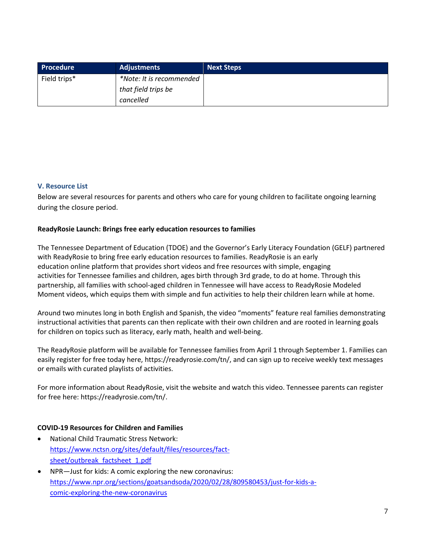| Procedure    | <b>Adjustments</b>       | <b>Next Steps</b> |
|--------------|--------------------------|-------------------|
| Field trips* | *Note: It is recommended |                   |
|              | that field trips be      |                   |
|              | cancelled                |                   |

## **V. Resource List**

Below are several resources for parents and others who care for young children to facilitate ongoing learning during the closure period.

## **ReadyRosie Launch: Brings free early education resources to families**

The Tennessee Department of Education (TDOE) and the Governor's Early Literacy Foundation (GELF) partnered with ReadyRosie to bring free early education resources to families. ReadyRosie is an early education online platform that provides short videos and free resources with simple, engaging activities for Tennessee families and children, ages birth through 3rd grade, to do at home. Through this partnership, all families with school-aged children in Tennessee will have access to ReadyRosie Modeled Moment videos, which equips them with simple and fun activities to help their children learn while at home.

Around two minutes long in both English and Spanish, the video "moments" feature real families demonstrating instructional activities that parents can then replicate with their own children and are rooted in learning goals for children on topics such as literacy, early math, health and well-being.

The ReadyRosie platform will be available for Tennessee families from April 1 through September 1. Families can easily register for free today here, [https://readyrosie.com/tn/,](https://readyrosie.com/tn/) and can sign up to receive weekly text messages or emails with curated playlists of activities.

For more information about ReadyRosie, visit the [website](https://readyrosie.com/) and watch [this video.](https://youtu.be/aw8b6FFyxus) Tennessee parents can register for free here: [https://readyrosie.com/tn/.](https://readyrosie.com/tn/)

### **COVID-19 Resources for Children and Families**

- National Child Traumatic Stress Network: [https://www.nctsn.org/sites/default/files/resources/fact](https://www.nctsn.org/sites/default/files/resources/fact-sheet/outbreak_factsheet_1.pdf)sheet/outbreak factsheet 1.pdf
- NPR—Just for kids: A comic exploring the new coronavirus: [https://www.npr.org/sections/goatsandsoda/2020/02/28/809580453/just-for-kids-a](https://www.npr.org/sections/goatsandsoda/2020/02/28/809580453/just-for-kids-a-comic-exploring-the-new-coronavirus)[comic-exploring-the-new-coronavirus](https://www.npr.org/sections/goatsandsoda/2020/02/28/809580453/just-for-kids-a-comic-exploring-the-new-coronavirus)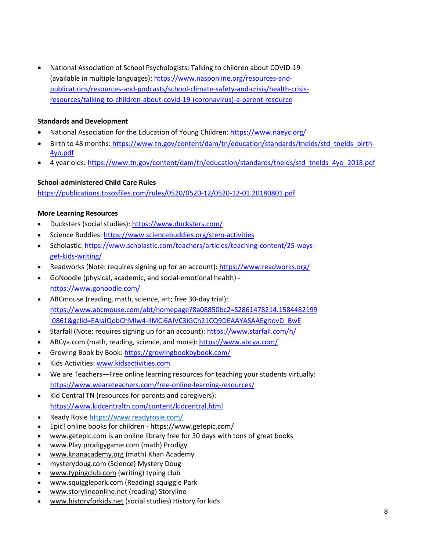• National Association of School Psychologists: Talking to children about COVID-19 (available in multiple languages): [https://www.nasponline.org/resources-and](https://www.nasponline.org/resources-and-publications/resources-and-podcasts/school-climate-safety-and-crisis/health-crisis-resources/talking-to-children-about-covid-19-(coronavirus)-a-parent-resource)[publications/resources-and-podcasts/school-climate-safety-and-crisis/health-crisis](https://www.nasponline.org/resources-and-publications/resources-and-podcasts/school-climate-safety-and-crisis/health-crisis-resources/talking-to-children-about-covid-19-(coronavirus)-a-parent-resource)[resources/talking-to-children-about-covid-19-\(coronavirus\)-a-parent-resource](https://www.nasponline.org/resources-and-publications/resources-and-podcasts/school-climate-safety-and-crisis/health-crisis-resources/talking-to-children-about-covid-19-(coronavirus)-a-parent-resource)

## **Standards and Development**

- National Association for the Education of Young Children:<https://www.naeyc.org/>
- Birth to 48 months[: https://www.tn.gov/content/dam/tn/education/standards/tnelds/std\\_tnelds\\_birth-](https://www.tn.gov/content/dam/tn/education/standards/tnelds/std_tnelds_birth-4yo.pdf)[4yo.pdf](https://www.tn.gov/content/dam/tn/education/standards/tnelds/std_tnelds_birth-4yo.pdf)
- 4 year olds: [https://www.tn.gov/content/dam/tn/education/standards/tnelds/std\\_tnelds\\_4yo\\_2018.pdf](https://www.tn.gov/content/dam/tn/education/standards/tnelds/std_tnelds_4yo_2018.pdf)

## **School-administered Child Care Rules**

<https://publications.tnsosfiles.com/rules/0520/0520-12/0520-12-01.20180801.pdf>

## **More Learning Resources**

- Ducksters (social studies):<https://www.ducksters.com/>
- Science Buddies:<https://www.sciencebuddies.org/stem-activities>
- Scholastic[: https://www.scholastic.com/teachers/articles/teaching-content/25-ways](https://www.scholastic.com/teachers/articles/teaching-content/25-ways-get-kids-writing/)[get-kids-writing/](https://www.scholastic.com/teachers/articles/teaching-content/25-ways-get-kids-writing/)
- Readworks (Note: requires signing up for an account):<https://www.readworks.org/>
- GoNoodle (physical, academic, and social-emotional health) <https://www.gonoodle.com/>
- ABCmouse (reading, math, science, art; free 30-day trial): [https://www.abcmouse.com/abt/homepage?8a08850bc2=S2861478214.1584482199](https://www.abcmouse.com/abt/homepage?8a08850bc2=S2861478214.1584482199.0861&gclid=EAIaIQobChMIw4-ilMCi6AIVC3iGCh21CQ9DEAAYASAAEgItovD_BwE) [.0861&gclid=EAIaIQobChMIw4-ilMCi6AIVC3iGCh21CQ9DEAAYASAAEgItovD\\_BwE](https://www.abcmouse.com/abt/homepage?8a08850bc2=S2861478214.1584482199.0861&gclid=EAIaIQobChMIw4-ilMCi6AIVC3iGCh21CQ9DEAAYASAAEgItovD_BwE)
- Starfall (Note: requires signing up for an account)[: https://www.starfall.com/h/](https://www.starfall.com/h/)
- ABCya.com (math, reading, science, and more):<https://www.abcya.com/>
- Growing Book by Book[: https://growingbookbybook.com/](https://growingbookbybook.com/)
- Kids Activities: [www.kidsactivities.com](http://www.kidsactivities.com/)
- We are Teachers—Free online learning resources for teaching your students virtually: <https://www.weareteachers.com/free-online-learning-resources/>
- Kid Central TN (resources for parents and caregivers): <https://www.kidcentraltn.com/content/kidcentral.html>
- Ready Rosie <https://www.readyrosie.com/>
- Epic! online books for children <https://www.getepic.com/>
- [www.getepic.com](http://www.getepic.com/) is an online library free for 30 days with tons of great books
- www.Play.prodigygame.com (math) Prodigy
- [www.knanacademy.org](http://www.knanacademy.org/) (math) Khan Academy
- mysterydoug.com (Science) Mystery Doug
- [www.typingclub.com](http://www.typingclub.com/) (writing) typing club
- [www.squigglepark.com](http://www.squigglepark.com/) (Reading) squiggle Park
- [www.storylineonline.net](http://www.storylineonline.net/) (reading) Storyline
- [www.historyforkids.net](http://www.historyforkids.net/) (social studies) History for kids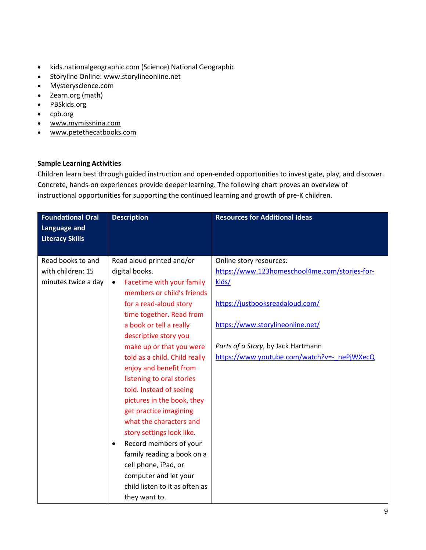- kids.nationalgeographic.com (Science) National Geographic
- Storyline Online: [www.storylineonline.net](http://www.storylineonline.net/)
- Mysteryscience.com
- Zearn.org (math)
- PBSkids.org
- cpb.org
- [www.mymissnina.com](http://www.mymissnina.com/)
- [www.petethecatbooks.com](http://www.petethecatbooks.com/)

### **Sample Learning Activities**

Children learn best through guided instruction and open-ended opportunities to investigate, play, and discover. Concrete, hands-on experiences provide deeper learning. The following chart proves an overview of instructional opportunities for supporting the continued learning and growth of pre-K children.

| <b>Foundational Oral</b> | <b>Description</b>                     | <b>Resources for Additional Ideas</b>         |
|--------------------------|----------------------------------------|-----------------------------------------------|
| <b>Language and</b>      |                                        |                                               |
| <b>Literacy Skills</b>   |                                        |                                               |
|                          |                                        |                                               |
| Read books to and        | Read aloud printed and/or              | Online story resources:                       |
| with children: 15        | digital books.                         | https://www.123homeschool4me.com/stories-for- |
| minutes twice a day      | Facetime with your family<br>$\bullet$ | kids/                                         |
|                          | members or child's friends             |                                               |
|                          | for a read-aloud story                 | https://justbooksreadaloud.com/               |
|                          | time together. Read from               |                                               |
|                          | a book or tell a really                | https://www.storylineonline.net/              |
|                          | descriptive story you                  |                                               |
|                          | make up or that you were               | Parts of a Story, by Jack Hartmann            |
|                          | told as a child. Child really          | https://www.youtube.com/watch?v=- nePjWXecQ   |
|                          | enjoy and benefit from                 |                                               |
|                          | listening to oral stories              |                                               |
|                          | told. Instead of seeing                |                                               |
|                          | pictures in the book, they             |                                               |
|                          | get practice imagining                 |                                               |
|                          | what the characters and                |                                               |
|                          | story settings look like.              |                                               |
|                          | Record members of your<br>$\bullet$    |                                               |
|                          | family reading a book on a             |                                               |
|                          | cell phone, iPad, or                   |                                               |
|                          | computer and let your                  |                                               |
|                          | child listen to it as often as         |                                               |
|                          | they want to.                          |                                               |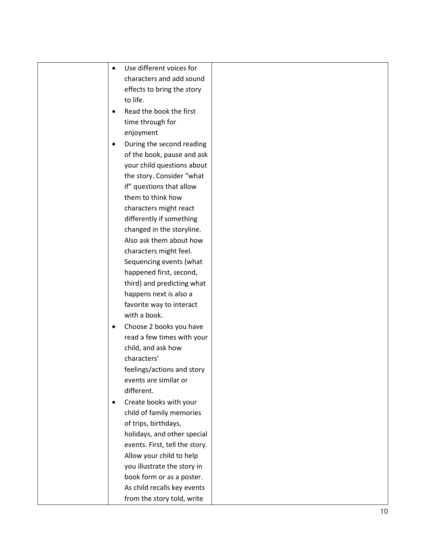| Use different voices for<br>$\bullet$  |
|----------------------------------------|
| characters and add sound               |
| effects to bring the story             |
| to life.                               |
| Read the book the first<br>$\bullet$   |
| time through for                       |
| enjoyment                              |
| During the second reading<br>$\bullet$ |
| of the book, pause and ask             |
| your child questions about             |
| the story. Consider "what              |
| if" questions that allow               |
| them to think how                      |
| characters might react                 |
| differently if something               |
| changed in the storyline.              |
| Also ask them about how                |
| characters might feel.                 |
| Sequencing events (what                |
| happened first, second,                |
| third) and predicting what             |
| happens next is also a                 |
| favorite way to interact               |
| with a book.                           |
| Choose 2 books you have<br>$\bullet$   |
| read a few times with your             |
| child, and ask how                     |
| characters'                            |
| feelings/actions and story             |
| events are similar or                  |
| different.                             |
| Create books with your<br>$\bullet$    |
| child of family memories               |
| of trips, birthdays,                   |
| holidays, and other special            |
| events. First, tell the story.         |
| Allow your child to help               |
| you illustrate the story in            |
| book form or as a poster.              |
| As child recalls key events            |
|                                        |
| from the story told, write             |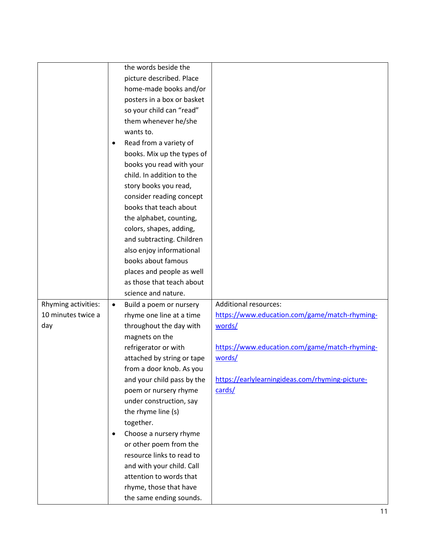|                     |           | the words beside the       |                                                 |
|---------------------|-----------|----------------------------|-------------------------------------------------|
|                     |           | picture described. Place   |                                                 |
|                     |           | home-made books and/or     |                                                 |
|                     |           | posters in a box or basket |                                                 |
|                     |           | so your child can "read"   |                                                 |
|                     |           | them whenever he/she       |                                                 |
|                     |           | wants to.                  |                                                 |
|                     | $\bullet$ | Read from a variety of     |                                                 |
|                     |           | books. Mix up the types of |                                                 |
|                     |           | books you read with your   |                                                 |
|                     |           | child. In addition to the  |                                                 |
|                     |           | story books you read,      |                                                 |
|                     |           | consider reading concept   |                                                 |
|                     |           | books that teach about     |                                                 |
|                     |           | the alphabet, counting,    |                                                 |
|                     |           | colors, shapes, adding,    |                                                 |
|                     |           | and subtracting. Children  |                                                 |
|                     |           | also enjoy informational   |                                                 |
|                     |           | books about famous         |                                                 |
|                     |           | places and people as well  |                                                 |
|                     |           | as those that teach about  |                                                 |
|                     |           | science and nature.        |                                                 |
| Rhyming activities: | $\bullet$ | Build a poem or nursery    | <b>Additional resources:</b>                    |
| 10 minutes twice a  |           | rhyme one line at a time   | https://www.education.com/game/match-rhyming-   |
| day                 |           | throughout the day with    | words/                                          |
|                     |           | magnets on the             |                                                 |
|                     |           | refrigerator or with       | https://www.education.com/game/match-rhyming-   |
|                     |           | attached by string or tape | words/                                          |
|                     |           | from a door knob. As you   |                                                 |
|                     |           | and your child pass by the | https://earlylearningideas.com/rhyming-picture- |
|                     |           | poem or nursery rhyme      | cards/                                          |
|                     |           | under construction, say    |                                                 |
|                     |           | the rhyme line (s)         |                                                 |
|                     |           | together.                  |                                                 |
|                     | $\bullet$ | Choose a nursery rhyme     |                                                 |
|                     |           | or other poem from the     |                                                 |
|                     |           | resource links to read to  |                                                 |
|                     |           | and with your child. Call  |                                                 |
|                     |           | attention to words that    |                                                 |
|                     |           | rhyme, those that have     |                                                 |
|                     |           | the same ending sounds.    |                                                 |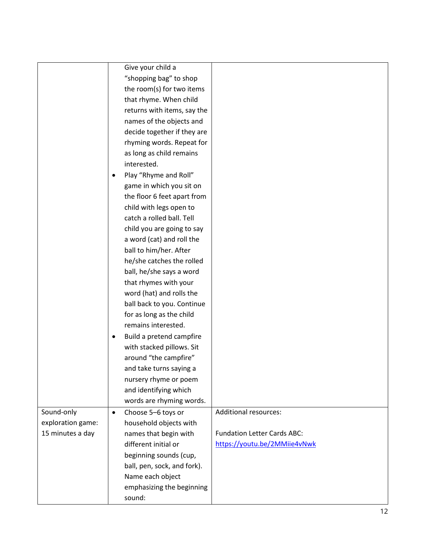|                   | Give your child a               |                                    |
|-------------------|---------------------------------|------------------------------------|
|                   | "shopping bag" to shop          |                                    |
|                   | the room(s) for two items       |                                    |
|                   | that rhyme. When child          |                                    |
|                   | returns with items, say the     |                                    |
|                   | names of the objects and        |                                    |
|                   | decide together if they are     |                                    |
|                   | rhyming words. Repeat for       |                                    |
|                   | as long as child remains        |                                    |
|                   | interested.                     |                                    |
|                   | Play "Rhyme and Roll"           |                                    |
|                   | game in which you sit on        |                                    |
|                   | the floor 6 feet apart from     |                                    |
|                   | child with legs open to         |                                    |
|                   | catch a rolled ball. Tell       |                                    |
|                   | child you are going to say      |                                    |
|                   | a word (cat) and roll the       |                                    |
|                   | ball to him/her. After          |                                    |
|                   | he/she catches the rolled       |                                    |
|                   | ball, he/she says a word        |                                    |
|                   | that rhymes with your           |                                    |
|                   | word (hat) and rolls the        |                                    |
|                   | ball back to you. Continue      |                                    |
|                   | for as long as the child        |                                    |
|                   | remains interested.             |                                    |
|                   | Build a pretend campfire<br>٠   |                                    |
|                   | with stacked pillows. Sit       |                                    |
|                   | around "the campfire"           |                                    |
|                   | and take turns saying a         |                                    |
|                   | nursery rhyme or poem           |                                    |
|                   | and identifying which           |                                    |
|                   | words are rhyming words.        |                                    |
| Sound-only        | Choose 5-6 toys or<br>$\bullet$ | <b>Additional resources:</b>       |
| exploration game: | household objects with          |                                    |
| 15 minutes a day  | names that begin with           | <b>Fundation Letter Cards ABC:</b> |
|                   | different initial or            | https://youtu.be/2MMiie4vNwk       |
|                   | beginning sounds (cup,          |                                    |
|                   | ball, pen, sock, and fork).     |                                    |
|                   | Name each object                |                                    |
|                   | emphasizing the beginning       |                                    |
|                   | sound:                          |                                    |
|                   |                                 |                                    |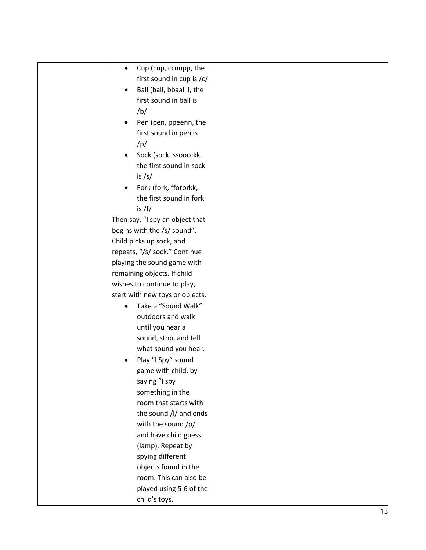| Cup (cup, ccuupp, the<br>$\bullet$ |  |
|------------------------------------|--|
| first sound in cup is /c/          |  |
| Ball (ball, bbaallll, the          |  |
| first sound in ball is             |  |
| /b/                                |  |
| Pen (pen, ppeenn, the              |  |
| first sound in pen is              |  |
| /p/                                |  |
| Sock (sock, ssoocckk,              |  |
| the first sound in sock            |  |
| is $/s/$                           |  |
| Fork (fork, ffororkk,              |  |
| the first sound in fork            |  |
| is /f/                             |  |
| Then say, "I spy an object that    |  |
| begins with the /s/ sound".        |  |
| Child picks up sock, and           |  |
| repeats, "/s/ sock." Continue      |  |
| playing the sound game with        |  |
| remaining objects. If child        |  |
| wishes to continue to play,        |  |
| start with new toys or objects.    |  |
| Take a "Sound Walk"                |  |
| outdoors and walk                  |  |
| until you hear a                   |  |
| sound, stop, and tell              |  |
| what sound you hear.               |  |
| Play "I Spy" sound                 |  |
| game with child, by                |  |
| saying "I spy                      |  |
| something in the                   |  |
| room that starts with              |  |
| the sound /l/ and ends             |  |
| with the sound /p/                 |  |
| and have child guess               |  |
| (lamp). Repeat by                  |  |
| spying different                   |  |
| objects found in the               |  |
| room. This can also be             |  |
|                                    |  |
| played using 5-6 of the            |  |
| child's toys.                      |  |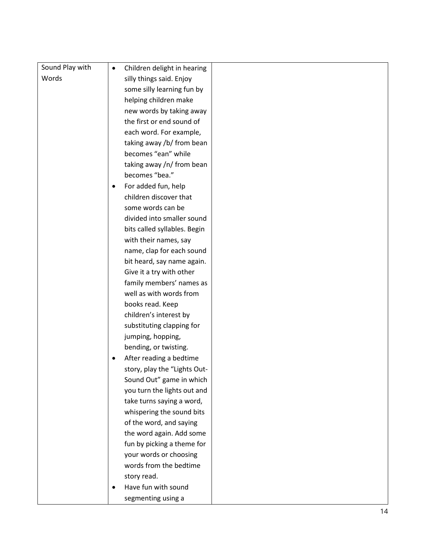| Sound Play with | $\bullet$ | Children delight in hearing  |  |
|-----------------|-----------|------------------------------|--|
| Words           |           | silly things said. Enjoy     |  |
|                 |           | some silly learning fun by   |  |
|                 |           | helping children make        |  |
|                 |           | new words by taking away     |  |
|                 |           | the first or end sound of    |  |
|                 |           | each word. For example,      |  |
|                 |           | taking away /b/ from bean    |  |
|                 |           | becomes "ean" while          |  |
|                 |           | taking away /n/ from bean    |  |
|                 |           | becomes "bea."               |  |
|                 |           | For added fun, help          |  |
|                 |           | children discover that       |  |
|                 |           | some words can be            |  |
|                 |           | divided into smaller sound   |  |
|                 |           | bits called syllables. Begin |  |
|                 |           | with their names, say        |  |
|                 |           | name, clap for each sound    |  |
|                 |           | bit heard, say name again.   |  |
|                 |           | Give it a try with other     |  |
|                 |           | family members' names as     |  |
|                 |           | well as with words from      |  |
|                 |           | books read. Keep             |  |
|                 |           | children's interest by       |  |
|                 |           | substituting clapping for    |  |
|                 |           | jumping, hopping,            |  |
|                 |           | bending, or twisting.        |  |
|                 |           | After reading a bedtime      |  |
|                 |           | story, play the "Lights Out- |  |
|                 |           | Sound Out" game in which     |  |
|                 |           | you turn the lights out and  |  |
|                 |           | take turns saying a word,    |  |
|                 |           | whispering the sound bits    |  |
|                 |           | of the word, and saying      |  |
|                 |           | the word again. Add some     |  |
|                 |           | fun by picking a theme for   |  |
|                 |           | your words or choosing       |  |
|                 |           | words from the bedtime       |  |
|                 |           | story read.                  |  |
|                 | $\bullet$ | Have fun with sound          |  |
|                 |           | segmenting using a           |  |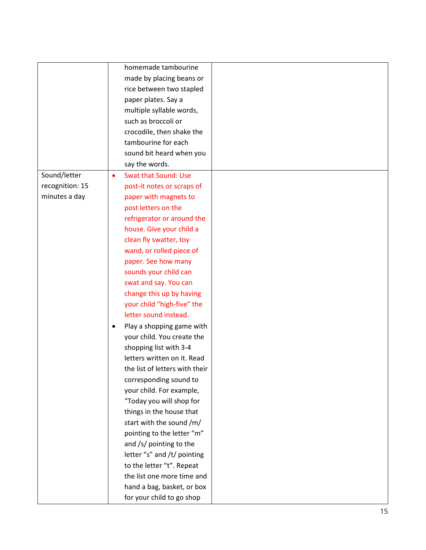|                 |           | homemade tambourine            |  |
|-----------------|-----------|--------------------------------|--|
|                 |           | made by placing beans or       |  |
|                 |           | rice between two stapled       |  |
|                 |           | paper plates. Say a            |  |
|                 |           | multiple syllable words,       |  |
|                 |           | such as broccoli or            |  |
|                 |           | crocodile, then shake the      |  |
|                 |           | tambourine for each            |  |
|                 |           | sound bit heard when you       |  |
|                 |           | say the words.                 |  |
| Sound/letter    | $\bullet$ | <b>Swat that Sound: Use</b>    |  |
| recognition: 15 |           | post-it notes or scraps of     |  |
| minutes a day   |           | paper with magnets to          |  |
|                 |           | post letters on the            |  |
|                 |           | refrigerator or around the     |  |
|                 |           | house. Give your child a       |  |
|                 |           | clean fly swatter, toy         |  |
|                 |           | wand, or rolled piece of       |  |
|                 |           | paper. See how many            |  |
|                 |           | sounds your child can          |  |
|                 |           | swat and say. You can          |  |
|                 |           | change this up by having       |  |
|                 |           | your child "high-five" the     |  |
|                 |           | letter sound instead.          |  |
|                 |           | Play a shopping game with      |  |
|                 |           | your child. You create the     |  |
|                 |           | shopping list with 3-4         |  |
|                 |           | letters written on it. Read    |  |
|                 |           | the list of letters with their |  |
|                 |           | corresponding sound to         |  |
|                 |           | your child. For example,       |  |
|                 |           | "Today you will shop for       |  |
|                 |           | things in the house that       |  |
|                 |           | start with the sound /m/       |  |
|                 |           | pointing to the letter "m"     |  |
|                 |           | and /s/ pointing to the        |  |
|                 |           | letter "s" and /t/ pointing    |  |
|                 |           | to the letter "t". Repeat      |  |
|                 |           | the list one more time and     |  |
|                 |           | hand a bag, basket, or box     |  |
|                 |           | for your child to go shop      |  |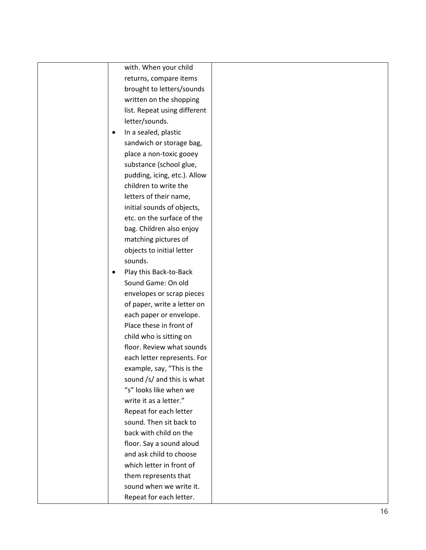with. When your child returns, compare items brought to letters/sounds written on the shopping list. Repeat using different letter/sounds.

- In a sealed, plastic sandwich or storage bag, place a non -toxic gooey substance (school glue, pudding, icing, etc.). Allow children to write the letters of their name, initial sounds of objects, etc. on the surface of the bag. Children also enjoy matching pictures of objects to initial letter sounds.
- Play this Back-to-Back Sound Game: On old envelopes or scrap pieces of paper, write a letter on each paper or envelope. Place these in front of child who is sitting on floor. Review what sounds each letter represents. For example, say, "This is the sound /s/ and this is what "s" looks like when we write it as a letter." Repeat for each letter sound. Then sit back to back with child on the floor. Say a sound aloud and ask child to choose which letter in front of them represents that sound when we write it. Repeat for each letter.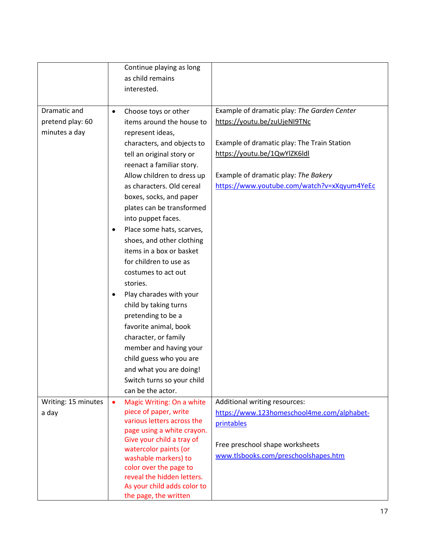|                     | Continue playing as long                                |                                             |
|---------------------|---------------------------------------------------------|---------------------------------------------|
|                     | as child remains                                        |                                             |
|                     | interested.                                             |                                             |
|                     |                                                         |                                             |
| Dramatic and        | Choose toys or other<br>$\bullet$                       | Example of dramatic play: The Garden Center |
| pretend play: 60    | items around the house to                               | https://youtu.be/zuUjeNI9TNc                |
| minutes a day       | represent ideas,                                        |                                             |
|                     | characters, and objects to                              | Example of dramatic play: The Train Station |
|                     | tell an original story or                               | https://youtu.be/1QwYlZK6ldl                |
|                     | reenact a familiar story.                               |                                             |
|                     | Allow children to dress up                              | Example of dramatic play: The Bakery        |
|                     | as characters. Old cereal                               | https://www.youtube.com/watch?v=xXqyum4YeEc |
|                     | boxes, socks, and paper                                 |                                             |
|                     | plates can be transformed                               |                                             |
|                     | into puppet faces.                                      |                                             |
|                     | Place some hats, scarves,<br>$\bullet$                  |                                             |
|                     | shoes, and other clothing                               |                                             |
|                     | items in a box or basket                                |                                             |
|                     | for children to use as                                  |                                             |
|                     | costumes to act out                                     |                                             |
|                     | stories.                                                |                                             |
|                     | Play charades with your<br>٠                            |                                             |
|                     | child by taking turns                                   |                                             |
|                     | pretending to be a                                      |                                             |
|                     | favorite animal, book                                   |                                             |
|                     | character, or family                                    |                                             |
|                     | member and having your                                  |                                             |
|                     | child guess who you are                                 |                                             |
|                     | and what you are doing!                                 |                                             |
|                     | Switch turns so your child                              |                                             |
|                     | can be the actor.                                       |                                             |
| Writing: 15 minutes | Magic Writing: On a white<br>$\bullet$                  | Additional writing resources:               |
| a day               | piece of paper, write                                   | https://www.123homeschool4me.com/alphabet-  |
|                     | various letters across the                              | printables                                  |
|                     | page using a white crayon.<br>Give your child a tray of |                                             |
|                     | watercolor paints (or                                   | Free preschool shape worksheets             |
|                     | washable markers) to                                    | www.tlsbooks.com/preschoolshapes.htm        |
|                     | color over the page to                                  |                                             |
|                     | reveal the hidden letters.                              |                                             |
|                     | As your child adds color to                             |                                             |
|                     | the page, the written                                   |                                             |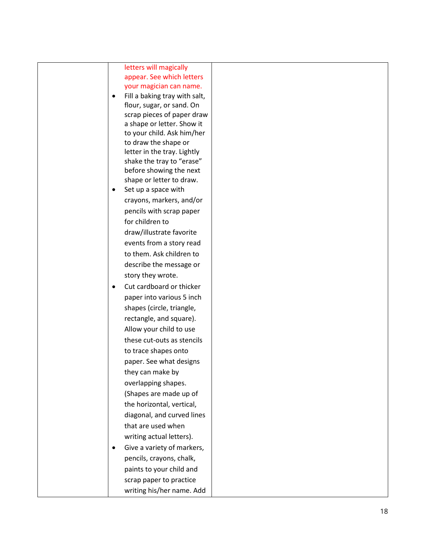## letters will magically appear. See which letters your magician can name.

- Fill a baking tray with salt, flour, sugar, or sand. On scrap pieces of paper draw a shape or letter. Show it to your child. Ask him/her to draw the shape or letter in the tray. Lightly shake the tray to "erase" before showing the next shape or letter to draw.
- Set up a space with crayons, markers, and/or pencils with scrap paper for children to draw/illustrate favorite events from a story read to them. Ask children to describe the message or story they wrote.
- Cut cardboard or thicker paper into various 5 inch shapes (circle, triangle, rectangle, and square). Allow your child to use these cut -outs as stencils to trace shapes onto paper. See what designs they can make by overlapping shapes. (Shapes are made up of the horizontal, vertical, diagonal, and curved lines that are used when writing actual letters).
- Give a variety of markers, pencils, crayons, chalk, paints to your child and scrap paper to practice writing his/her name. Add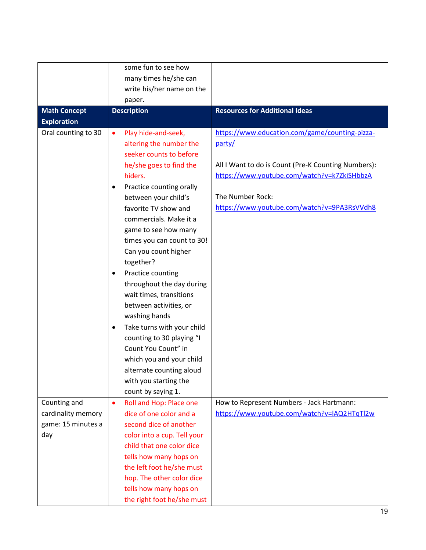|                                           | some fun to see how                                |                                                     |
|-------------------------------------------|----------------------------------------------------|-----------------------------------------------------|
|                                           | many times he/she can                              |                                                     |
|                                           |                                                    |                                                     |
|                                           | write his/her name on the                          |                                                     |
|                                           | paper.                                             | <b>Resources for Additional Ideas</b>               |
| <b>Math Concept</b><br><b>Exploration</b> | <b>Description</b>                                 |                                                     |
| Oral counting to 30                       |                                                    | https://www.education.com/game/counting-pizza-      |
|                                           | Play hide-and-seek,<br>$\bullet$                   |                                                     |
|                                           | altering the number the<br>seeker counts to before | party/                                              |
|                                           |                                                    |                                                     |
|                                           | he/she goes to find the                            | All I Want to do is Count (Pre-K Counting Numbers): |
|                                           | hiders.                                            | https://www.youtube.com/watch?v=k7ZkiSHbbzA         |
|                                           | Practice counting orally<br>٠                      |                                                     |
|                                           | between your child's                               | The Number Rock:                                    |
|                                           | favorite TV show and                               | https://www.youtube.com/watch?v=9PA3RsVVdh8         |
|                                           | commercials. Make it a                             |                                                     |
|                                           | game to see how many                               |                                                     |
|                                           | times you can count to 30!                         |                                                     |
|                                           | Can you count higher                               |                                                     |
|                                           | together?                                          |                                                     |
|                                           | Practice counting<br>$\bullet$                     |                                                     |
|                                           | throughout the day during                          |                                                     |
|                                           | wait times, transitions                            |                                                     |
|                                           | between activities, or                             |                                                     |
|                                           | washing hands                                      |                                                     |
|                                           | Take turns with your child<br>$\bullet$            |                                                     |
|                                           | counting to 30 playing "I                          |                                                     |
|                                           | Count You Count" in                                |                                                     |
|                                           | which you and your child                           |                                                     |
|                                           | alternate counting aloud                           |                                                     |
|                                           | with you starting the                              |                                                     |
|                                           | count by saying 1.                                 |                                                     |
| Counting and                              | Roll and Hop: Place one<br>$\bullet$               | How to Represent Numbers - Jack Hartmann:           |
| cardinality memory                        | dice of one color and a                            | https://www.youtube.com/watch?v=IAQ2HTqTl2w         |
| game: 15 minutes a                        | second dice of another                             |                                                     |
| day                                       | color into a cup. Tell your                        |                                                     |
|                                           | child that one color dice                          |                                                     |
|                                           | tells how many hops on                             |                                                     |
|                                           | the left foot he/she must                          |                                                     |
|                                           | hop. The other color dice                          |                                                     |
|                                           | tells how many hops on                             |                                                     |
|                                           | the right foot he/she must                         |                                                     |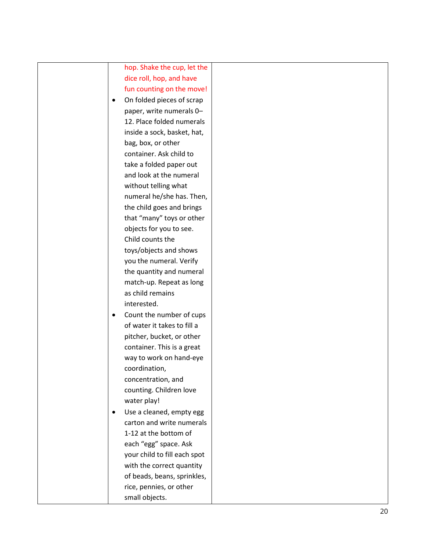|           | hop. Shake the cup, let the  |  |
|-----------|------------------------------|--|
|           | dice roll, hop, and have     |  |
|           | fun counting on the move!    |  |
| $\bullet$ | On folded pieces of scrap    |  |
|           | paper, write numerals 0-     |  |
|           | 12. Place folded numerals    |  |
|           | inside a sock, basket, hat,  |  |
|           | bag, box, or other           |  |
|           | container. Ask child to      |  |
|           | take a folded paper out      |  |
|           | and look at the numeral      |  |
|           | without telling what         |  |
|           | numeral he/she has. Then,    |  |
|           | the child goes and brings    |  |
|           | that "many" toys or other    |  |
|           | objects for you to see.      |  |
|           | Child counts the             |  |
|           | toys/objects and shows       |  |
|           | you the numeral. Verify      |  |
|           | the quantity and numeral     |  |
|           | match-up. Repeat as long     |  |
|           | as child remains             |  |
|           | interested.                  |  |
| $\bullet$ | Count the number of cups     |  |
|           | of water it takes to fill a  |  |
|           | pitcher, bucket, or other    |  |
|           | container. This is a great   |  |
|           | way to work on hand-eye      |  |
|           | coordination,                |  |
|           | concentration, and           |  |
|           | counting. Children love      |  |
|           | water play!                  |  |
| $\bullet$ | Use a cleaned, empty egg     |  |
|           | carton and write numerals    |  |
|           | 1-12 at the bottom of        |  |
|           | each "egg" space. Ask        |  |
|           | your child to fill each spot |  |
|           | with the correct quantity    |  |
|           | of beads, beans, sprinkles,  |  |
|           | rice, pennies, or other      |  |
|           | small objects.               |  |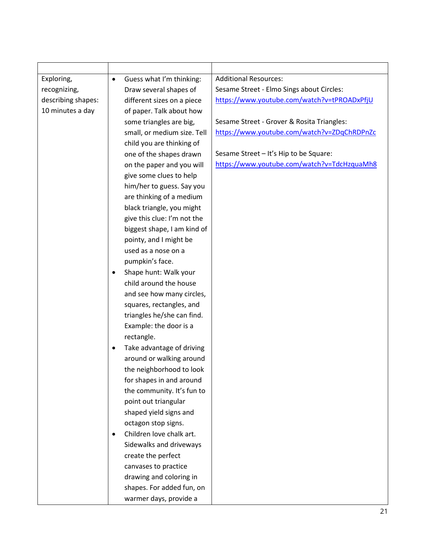| Exploring,         | $\bullet$ | Guess what I'm thinking:    | <b>Additional Resources:</b>                |
|--------------------|-----------|-----------------------------|---------------------------------------------|
| recognizing,       |           | Draw several shapes of      | Sesame Street - Elmo Sings about Circles:   |
| describing shapes: |           | different sizes on a piece  | https://www.youtube.com/watch?v=tPROADxPfjU |
| 10 minutes a day   |           | of paper. Talk about how    |                                             |
|                    |           | some triangles are big,     | Sesame Street - Grover & Rosita Triangles:  |
|                    |           | small, or medium size. Tell | https://www.youtube.com/watch?v=ZDqChRDPnZc |
|                    |           | child you are thinking of   |                                             |
|                    |           | one of the shapes drawn     | Sesame Street - It's Hip to be Square:      |
|                    |           | on the paper and you will   | https://www.youtube.com/watch?v=TdcHzquaMh8 |
|                    |           | give some clues to help     |                                             |
|                    |           | him/her to guess. Say you   |                                             |
|                    |           | are thinking of a medium    |                                             |
|                    |           | black triangle, you might   |                                             |
|                    |           | give this clue: I'm not the |                                             |
|                    |           | biggest shape, I am kind of |                                             |
|                    |           | pointy, and I might be      |                                             |
|                    |           | used as a nose on a         |                                             |
|                    |           | pumpkin's face.             |                                             |
|                    | ٠         | Shape hunt: Walk your       |                                             |
|                    |           | child around the house      |                                             |
|                    |           | and see how many circles,   |                                             |
|                    |           | squares, rectangles, and    |                                             |
|                    |           | triangles he/she can find.  |                                             |
|                    |           | Example: the door is a      |                                             |
|                    |           | rectangle.                  |                                             |
|                    | $\bullet$ | Take advantage of driving   |                                             |
|                    |           | around or walking around    |                                             |
|                    |           | the neighborhood to look    |                                             |
|                    |           | for shapes in and around    |                                             |
|                    |           | the community. It's fun to  |                                             |
|                    |           | point out triangular        |                                             |
|                    |           | shaped yield signs and      |                                             |
|                    |           | octagon stop signs.         |                                             |
|                    | $\bullet$ | Children love chalk art.    |                                             |
|                    |           | Sidewalks and driveways     |                                             |
|                    |           | create the perfect          |                                             |
|                    |           | canvases to practice        |                                             |
|                    |           | drawing and coloring in     |                                             |
|                    |           | shapes. For added fun, on   |                                             |
|                    |           | warmer days, provide a      |                                             |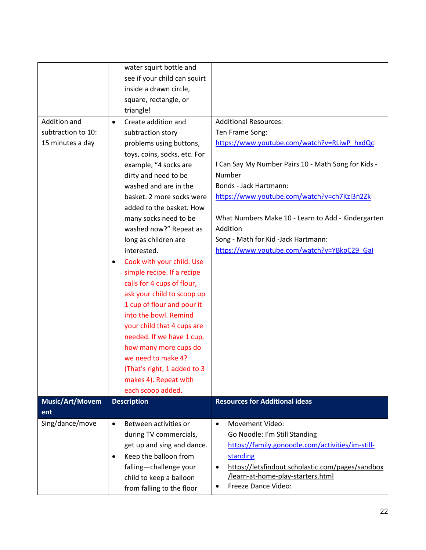|                        | water squirt bottle and            |                                                               |
|------------------------|------------------------------------|---------------------------------------------------------------|
|                        | see if your child can squirt       |                                                               |
|                        | inside a drawn circle,             |                                                               |
|                        | square, rectangle, or              |                                                               |
|                        | triangle!                          |                                                               |
| Addition and           | Create addition and<br>$\bullet$   | <b>Additional Resources:</b>                                  |
| subtraction to 10:     | subtraction story                  | Ten Frame Song:                                               |
| 15 minutes a day       | problems using buttons,            | https://www.youtube.com/watch?v=RLiwP_hxdQc                   |
|                        | toys, coins, socks, etc. For       |                                                               |
|                        | example, "4 socks are              | I Can Say My Number Pairs 10 - Math Song for Kids -           |
|                        | dirty and need to be               | Number                                                        |
|                        | washed and are in the              | Bonds - Jack Hartmann:                                        |
|                        | basket. 2 more socks were          | https://www.youtube.com/watch?v=ch7KzI3n2Zk                   |
|                        | added to the basket. How           |                                                               |
|                        | many socks need to be              | What Numbers Make 10 - Learn to Add - Kindergarten            |
|                        | washed now?" Repeat as             | Addition                                                      |
|                        | long as children are               | Song - Math for Kid -Jack Hartmann:                           |
|                        | interested.                        | https://www.youtube.com/watch?v=YBkpC29_Gal                   |
|                        | Cook with your child. Use          |                                                               |
|                        | simple recipe. If a recipe         |                                                               |
|                        | calls for 4 cups of flour,         |                                                               |
|                        | ask your child to scoop up         |                                                               |
|                        | 1 cup of flour and pour it         |                                                               |
|                        | into the bowl. Remind              |                                                               |
|                        | your child that 4 cups are         |                                                               |
|                        | needed. If we have 1 cup,          |                                                               |
|                        | how many more cups do              |                                                               |
|                        | we need to make 4?                 |                                                               |
|                        | (That's right, 1 added to 3        |                                                               |
|                        | makes 4). Repeat with              |                                                               |
|                        | each scoop added.                  |                                                               |
| <b>Music/Art/Movem</b> | <b>Description</b>                 | <b>Resources for Additional ideas</b>                         |
| ent                    |                                    |                                                               |
| Sing/dance/move        | Between activities or<br>$\bullet$ | <b>Movement Video:</b><br>$\bullet$                           |
|                        | during TV commercials,             | Go Noodle: I'm Still Standing                                 |
|                        | get up and sing and dance.         | https://family.gonoodle.com/activities/im-still-              |
|                        | Keep the balloon from              | standing                                                      |
|                        | falling-challenge your             | https://letsfindout.scholastic.com/pages/sandbox<br>$\bullet$ |
|                        | child to keep a balloon            | /learn-at-home-play-starters.html                             |
|                        | from falling to the floor          | Freeze Dance Video:<br>$\bullet$                              |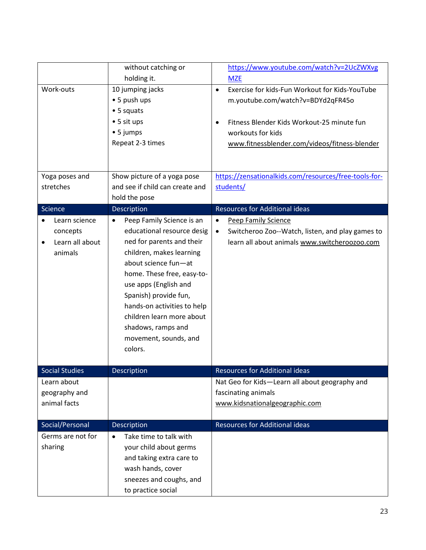|                              | without catching or                    | https://www.youtube.com/watch?v=2UcZWXvg                      |
|------------------------------|----------------------------------------|---------------------------------------------------------------|
|                              | holding it.                            | <b>MZE</b>                                                    |
| Work-outs                    | 10 jumping jacks                       | Exercise for kids-Fun Workout for Kids-YouTube<br>$\bullet$   |
|                              | • 5 push ups                           | m.youtube.com/watch?v=BDYd2qFR45o                             |
|                              | • 5 squats                             |                                                               |
|                              | • 5 sit ups                            | Fitness Blender Kids Workout-25 minute fun<br>$\bullet$       |
|                              | • 5 jumps                              | workouts for kids                                             |
|                              | Repeat 2-3 times                       | www.fitnessblender.com/videos/fitness-blender                 |
|                              |                                        |                                                               |
|                              |                                        |                                                               |
| Yoga poses and               | Show picture of a yoga pose            | https://zensationalkids.com/resources/free-tools-for-         |
| stretches                    | and see if child can create and        | students/                                                     |
|                              | hold the pose                          |                                                               |
| Science                      | Description                            | <b>Resources for Additional ideas</b>                         |
| Learn science<br>$\bullet$   | Peep Family Science is an<br>$\bullet$ | <b>Peep Family Science</b><br>$\bullet$                       |
| concepts                     | educational resource desig             | Switcheroo Zoo--Watch, listen, and play games to<br>$\bullet$ |
| Learn all about<br>$\bullet$ | ned for parents and their              | learn all about animals www.switcheroozoo.com                 |
| animals                      | children, makes learning               |                                                               |
|                              | about science fun-at                   |                                                               |
|                              | home. These free, easy-to-             |                                                               |
|                              | use apps (English and                  |                                                               |
|                              | Spanish) provide fun,                  |                                                               |
|                              | hands-on activities to help            |                                                               |
|                              | children learn more about              |                                                               |
|                              | shadows, ramps and                     |                                                               |
|                              | movement, sounds, and                  |                                                               |
|                              | colors.                                |                                                               |
|                              |                                        |                                                               |
| <b>Social Studies</b>        | Description                            | <b>Resources for Additional ideas</b>                         |
| Learn about                  |                                        | Nat Geo for Kids-Learn all about geography and                |
| geography and                |                                        | fascinating animals                                           |
| animal facts                 |                                        | www.kidsnationalgeographic.com                                |
|                              |                                        |                                                               |
| Social/Personal              | Description                            | <b>Resources for Additional ideas</b>                         |
| Germs are not for            | Take time to talk with<br>$\bullet$    |                                                               |
| sharing                      | your child about germs                 |                                                               |
|                              | and taking extra care to               |                                                               |
|                              | wash hands, cover                      |                                                               |
|                              | sneezes and coughs, and                |                                                               |
|                              | to practice social                     |                                                               |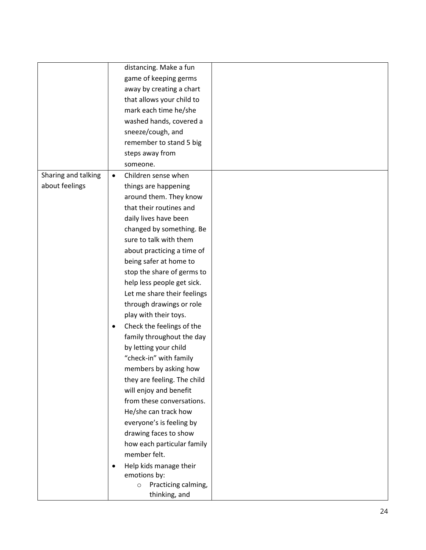|                     |           | distancing. Make a fun         |  |
|---------------------|-----------|--------------------------------|--|
|                     |           | game of keeping germs          |  |
|                     |           | away by creating a chart       |  |
|                     |           | that allows your child to      |  |
|                     |           | mark each time he/she          |  |
|                     |           | washed hands, covered a        |  |
|                     |           | sneeze/cough, and              |  |
|                     |           |                                |  |
|                     |           | remember to stand 5 big        |  |
|                     |           | steps away from                |  |
|                     |           | someone.                       |  |
| Sharing and talking | $\bullet$ | Children sense when            |  |
| about feelings      |           | things are happening           |  |
|                     |           | around them. They know         |  |
|                     |           | that their routines and        |  |
|                     |           | daily lives have been          |  |
|                     |           | changed by something. Be       |  |
|                     |           | sure to talk with them         |  |
|                     |           | about practicing a time of     |  |
|                     |           | being safer at home to         |  |
|                     |           | stop the share of germs to     |  |
|                     |           | help less people get sick.     |  |
|                     |           | Let me share their feelings    |  |
|                     |           | through drawings or role       |  |
|                     |           | play with their toys.          |  |
|                     | ٠         | Check the feelings of the      |  |
|                     |           | family throughout the day      |  |
|                     |           | by letting your child          |  |
|                     |           | "check-in" with family         |  |
|                     |           | members by asking how          |  |
|                     |           | they are feeling. The child    |  |
|                     |           | will enjoy and benefit         |  |
|                     |           | from these conversations.      |  |
|                     |           | He/she can track how           |  |
|                     |           | everyone's is feeling by       |  |
|                     |           | drawing faces to show          |  |
|                     |           | how each particular family     |  |
|                     |           | member felt.                   |  |
|                     |           | Help kids manage their         |  |
|                     |           | emotions by:                   |  |
|                     |           | Practicing calming,<br>$\circ$ |  |
|                     |           | thinking, and                  |  |